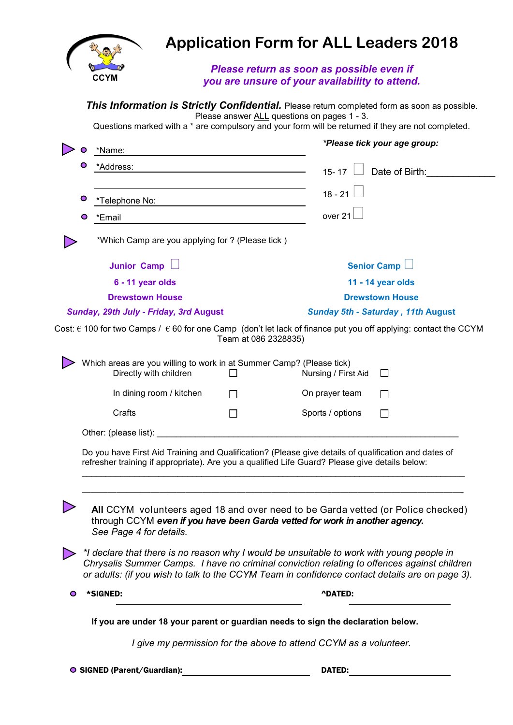

## **Application Form for ALL Leaders 2018**

## *Please return as soon as possible even if you are unsure of your availability to attend.*

|           | *Name:                                                                                         |              | *Please tick your age group:                                                                                                                                                                                                                                                               |  |
|-----------|------------------------------------------------------------------------------------------------|--------------|--------------------------------------------------------------------------------------------------------------------------------------------------------------------------------------------------------------------------------------------------------------------------------------------|--|
|           | Ō<br>*Address:                                                                                 |              | $\Box$ Date of Birth:<br>$15 - 17$                                                                                                                                                                                                                                                         |  |
|           |                                                                                                |              |                                                                                                                                                                                                                                                                                            |  |
| O         | *Telephone No:                                                                                 |              | $18 - 21$                                                                                                                                                                                                                                                                                  |  |
| O         | *Email                                                                                         |              | over 21                                                                                                                                                                                                                                                                                    |  |
|           | *Which Camp are you applying for ? (Please tick)                                               |              |                                                                                                                                                                                                                                                                                            |  |
|           | <b>Junior Camp</b>                                                                             |              | Senior Camp                                                                                                                                                                                                                                                                                |  |
|           | 6 - 11 year olds                                                                               |              | 11 - 14 year olds                                                                                                                                                                                                                                                                          |  |
|           | <b>Drewstown House</b>                                                                         |              | <b>Drewstown House</b><br><b>Sunday 5th - Saturday, 11th August</b>                                                                                                                                                                                                                        |  |
|           | Sunday, 29th July - Friday, 3rd August                                                         |              |                                                                                                                                                                                                                                                                                            |  |
|           | Which areas are you willing to work in at Summer Camp? (Please tick)<br>Directly with children | $\mathbf{I}$ | Nursing / First Aid<br>$\perp$                                                                                                                                                                                                                                                             |  |
|           | In dining room / kitchen                                                                       | $\mathbf{I}$ | On prayer team<br>$\mathsf{L}$                                                                                                                                                                                                                                                             |  |
|           | Crafts                                                                                         | П            | Sports / options<br>ΙI                                                                                                                                                                                                                                                                     |  |
|           |                                                                                                |              |                                                                                                                                                                                                                                                                                            |  |
|           |                                                                                                |              |                                                                                                                                                                                                                                                                                            |  |
|           |                                                                                                |              | Do you have First Aid Training and Qualification? (Please give details of qualification and dates of<br>refresher training if appropriate). Are you a qualified Life Guard? Please give details below:                                                                                     |  |
|           | See Page 4 for details.                                                                        |              | All CCYM volunteers aged 18 and over need to be Garda vetted (or Police checked)<br>through CCYM even if you have been Garda vetted for work in another agency.                                                                                                                            |  |
|           |                                                                                                |              | *I declare that there is no reason why I would be unsuitable to work with young people in<br>Chrysalis Summer Camps. I have no criminal conviction relating to offences against children<br>or adults: (if you wish to talk to the CCYM Team in confidence contact details are on page 3). |  |
| $\bullet$ | *SIGNED:                                                                                       |              | <b>^DATED:</b>                                                                                                                                                                                                                                                                             |  |
|           |                                                                                                |              | If you are under 18 your parent or guardian needs to sign the declaration below.                                                                                                                                                                                                           |  |
|           |                                                                                                |              | I give my permission for the above to attend CCYM as a volunteer.                                                                                                                                                                                                                          |  |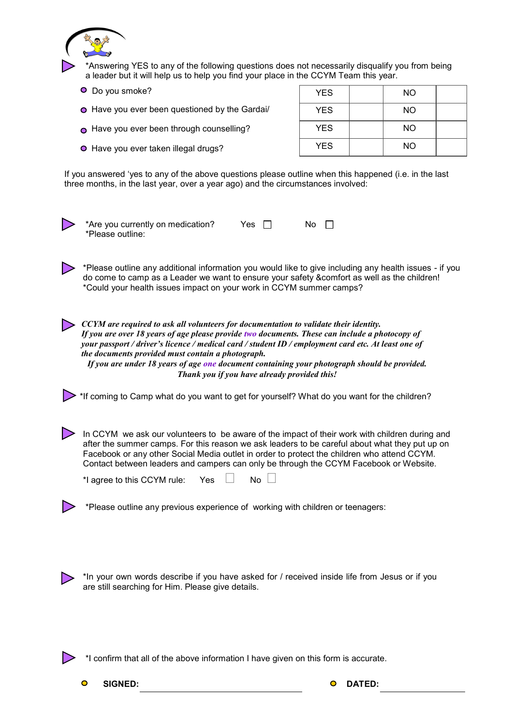

● Have you ever taken illegal drugs?

| .          | 1 N V     |  |
|------------|-----------|--|
| <b>YES</b> | <b>NO</b> |  |
| <b>YES</b> | <b>NO</b> |  |
| <b>YES</b> | <b>NO</b> |  |

If you answered 'yes to any of the above questions please outline when this happened (i.e. in the last three months, in the last year, over a year ago) and the circumstances involved:



\*Please outline any additional information you would like to give including any health issues - if you do come to camp as a Leader we want to ensure your safety &comfort as well as the children! \*Could your health issues impact on your work in CCYM summer camps?

*CCYM are required to ask all volunteers for documentation to validate their identity. If you are over 18 years of age please provide two documents. These can include a photocopy of your passport / driver's licence / medical card / student ID / employment card etc. At least one of the documents provided must contain a photograph. If you are under 18 years of age one document containing your photograph should be provided.* 

*Thank you if you have already provided this!*

<sup>\*</sup> If coming to Camp what do you want to get for yourself? What do you want for the children?

In CCYM we ask our volunteers to be aware of the impact of their work with children during and after the summer camps. For this reason we ask leaders to be careful about what they put up on Facebook or any other Social Media outlet in order to protect the children who attend CCYM. Contact between leaders and campers can only be through the CCYM Facebook or Website.

\*I agree to this CCYM rule: Yes  $\Box$  No  $\Box$ 

\*Please outline any previous experience of working with children or teenagers:

\*In your own words describe if you have asked for / received inside life from Jesus or if you are still searching for Him. Please give details.

\*I confirm that all of the above information I have given on this form is accurate.

**SIGNED: DATED: DATED:**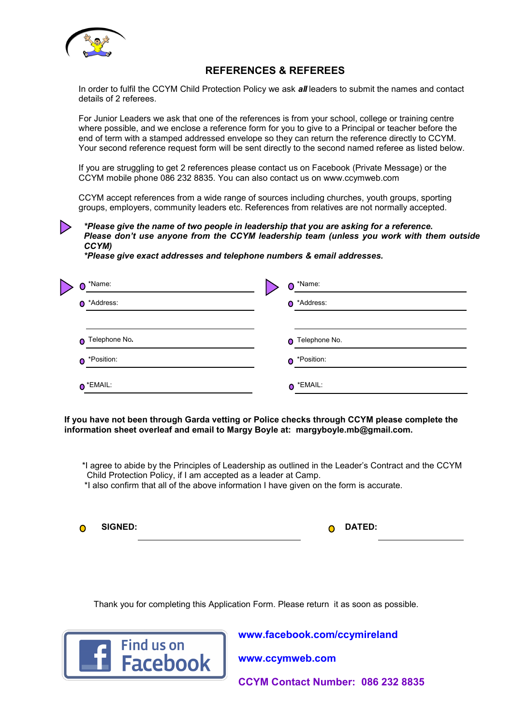

## **REFERENCES & REFEREES**

In order to fulfil the CCYM Child Protection Policy we ask *all* leaders to submit the names and contact details of 2 referees.

For Junior Leaders we ask that one of the references is from your school, college or training centre where possible, and we enclose a reference form for you to give to a Principal or teacher before the end of term with a stamped addressed envelope so they can return the reference directly to CCYM. Your second reference request form will be sent directly to the second named referee as listed below.

If you are struggling to get 2 references please contact us on Facebook (Private Message) or the CCYM mobile phone 086 232 8835. You can also contact us on www.ccymweb.com

CCYM accept references from a wide range of sources including churches, youth groups, sporting groups, employers, community leaders etc. References from relatives are not normally accepted.

*\*Please give the name of two people in leadership that you are asking for a reference. Please don't use anyone from the CCYM leadership team (unless you work with them outside CCYM)*

*\*Please give exact addresses and telephone numbers & email addresses.* 

| Ω         | *Name:            | $\bullet$ *Name:  |
|-----------|-------------------|-------------------|
|           | O *Address:       | O *Address:       |
|           | O Telephone No.   | O Telephone No.   |
| $\bullet$ | *Position:        | O *Position:      |
|           | $\bullet$ *EMAIL: | $\bullet$ *EMAIL: |

**If you have not been through Garda vetting or Police checks through CCYM please complete the information sheet overleaf and email to Margy Boyle at: margyboyle.mb@gmail.com.**

- \*I agree to abide by the Principles of Leadership as outlined in the Leader's Contract and the CCYM Child Protection Policy, if I am accepted as a leader at Camp.
- \*I also confirm that all of the above information I have given on the form is accurate.

**SIGNED: DATED: DATED: DATED: DATED:**  $\bullet$ 

Thank you for completing this Application Form. Please return it as soon as possible.



**www.facebook.com/ccymireland** 

**www.ccymweb.com**

**CCYM Contact Number: 086 232 8835**